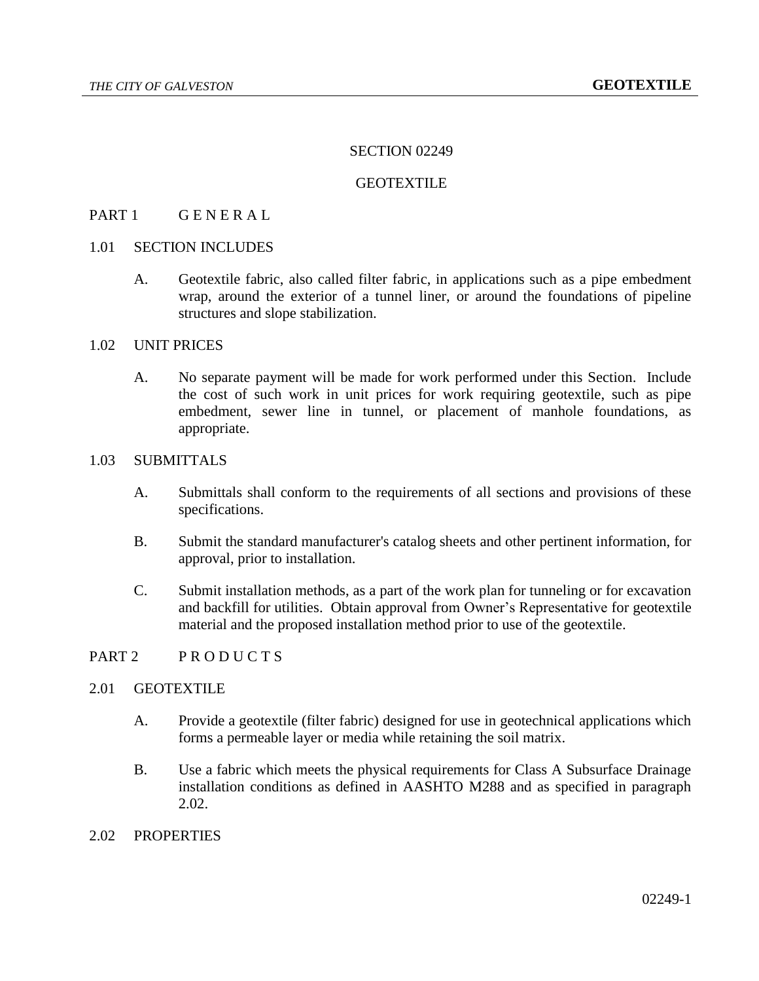## SECTION 02249

#### **GEOTEXTILE**

## PART 1 GENERAL

## 1.01 SECTION INCLUDES

A. Geotextile fabric, also called filter fabric, in applications such as a pipe embedment wrap, around the exterior of a tunnel liner, or around the foundations of pipeline structures and slope stabilization.

#### 1.02 UNIT PRICES

A. No separate payment will be made for work performed under this Section. Include the cost of such work in unit prices for work requiring geotextile, such as pipe embedment, sewer line in tunnel, or placement of manhole foundations, as appropriate.

### 1.03 SUBMITTALS

- A. Submittals shall conform to the requirements of all sections and provisions of these specifications.
- B. Submit the standard manufacturer's catalog sheets and other pertinent information, for approval, prior to installation.
- C. Submit installation methods, as a part of the work plan for tunneling or for excavation and backfill for utilities. Obtain approval from Owner's Representative for geotextile material and the proposed installation method prior to use of the geotextile.

## PART 2 PRODUCTS

## 2.01 GEOTEXTILE

- A. Provide a geotextile (filter fabric) designed for use in geotechnical applications which forms a permeable layer or media while retaining the soil matrix.
- B. Use a fabric which meets the physical requirements for Class A Subsurface Drainage installation conditions as defined in AASHTO M288 and as specified in paragraph 2.02.

### 2.02 PROPERTIES